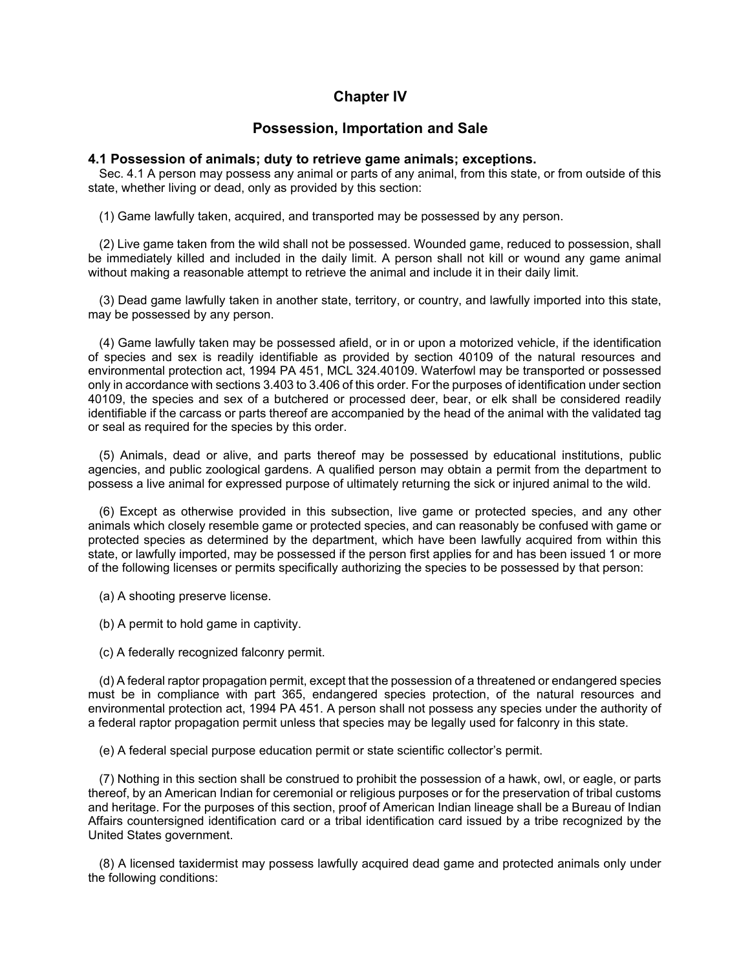# **Chapter IV**

## **Possession, Importation and Sale**

## **4.1 Possession of animals; duty to retrieve game animals; exceptions.**

Sec. 4.1 A person may possess any animal or parts of any animal, from this state, or from outside of this state, whether living or dead, only as provided by this section:

(1) Game lawfully taken, acquired, and transported may be possessed by any person.

(2) Live game taken from the wild shall not be possessed. Wounded game, reduced to possession, shall be immediately killed and included in the daily limit. A person shall not kill or wound any game animal without making a reasonable attempt to retrieve the animal and include it in their daily limit.

(3) Dead game lawfully taken in another state, territory, or country, and lawfully imported into this state, may be possessed by any person.

(4) Game lawfully taken may be possessed afield, or in or upon a motorized vehicle, if the identification of species and sex is readily identifiable as provided by section 40109 of the natural resources and environmental protection act, 1994 PA 451, MCL 324.40109. Waterfowl may be transported or possessed only in accordance with sections 3.403 to 3.406 of this order. For the purposes of identification under section 40109, the species and sex of a butchered or processed deer, bear, or elk shall be considered readily identifiable if the carcass or parts thereof are accompanied by the head of the animal with the validated tag or seal as required for the species by this order.

(5) Animals, dead or alive, and parts thereof may be possessed by educational institutions, public agencies, and public zoological gardens. A qualified person may obtain a permit from the department to possess a live animal for expressed purpose of ultimately returning the sick or injured animal to the wild.

(6) Except as otherwise provided in this subsection, live game or protected species, and any other animals which closely resemble game or protected species, and can reasonably be confused with game or protected species as determined by the department, which have been lawfully acquired from within this state, or lawfully imported, may be possessed if the person first applies for and has been issued 1 or more of the following licenses or permits specifically authorizing the species to be possessed by that person:

(a) A shooting preserve license.

(b) A permit to hold game in captivity.

(c) A federally recognized falconry permit.

(d) A federal raptor propagation permit, except that the possession of a threatened or endangered species must be in compliance with part 365, endangered species protection, of the natural resources and environmental protection act, 1994 PA 451. A person shall not possess any species under the authority of a federal raptor propagation permit unless that species may be legally used for falconry in this state.

(e) A federal special purpose education permit or state scientific collector's permit.

(7) Nothing in this section shall be construed to prohibit the possession of a hawk, owl, or eagle, or parts thereof, by an American Indian for ceremonial or religious purposes or for the preservation of tribal customs and heritage. For the purposes of this section, proof of American Indian lineage shall be a Bureau of Indian Affairs countersigned identification card or a tribal identification card issued by a tribe recognized by the United States government.

(8) A licensed taxidermist may possess lawfully acquired dead game and protected animals only under the following conditions: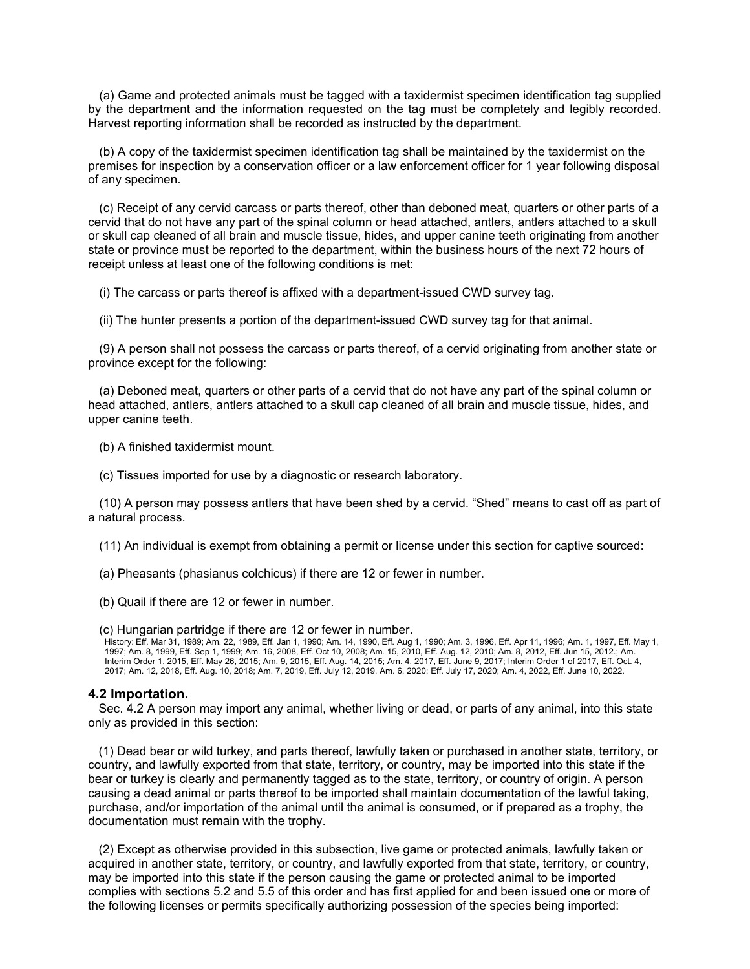(a) Game and protected animals must be tagged with a taxidermist specimen identification tag supplied by the department and the information requested on the tag must be completely and legibly recorded. Harvest reporting information shall be recorded as instructed by the department.

(b) A copy of the taxidermist specimen identification tag shall be maintained by the taxidermist on the premises for inspection by a conservation officer or a law enforcement officer for 1 year following disposal of any specimen.

(c) Receipt of any cervid carcass or parts thereof, other than deboned meat, quarters or other parts of a cervid that do not have any part of the spinal column or head attached, antlers, antlers attached to a skull or skull cap cleaned of all brain and muscle tissue, hides, and upper canine teeth originating from another state or province must be reported to the department, within the business hours of the next 72 hours of receipt unless at least one of the following conditions is met:

(i) The carcass or parts thereof is affixed with a department-issued CWD survey tag.

(ii) The hunter presents a portion of the department-issued CWD survey tag for that animal.

(9) A person shall not possess the carcass or parts thereof, of a cervid originating from another state or province except for the following:

(a) Deboned meat, quarters or other parts of a cervid that do not have any part of the spinal column or head attached, antlers, antlers attached to a skull cap cleaned of all brain and muscle tissue, hides, and upper canine teeth.

(b) A finished taxidermist mount.

(c) Tissues imported for use by a diagnostic or research laboratory.

(10) A person may possess antlers that have been shed by a cervid. "Shed" means to cast off as part of a natural process.

(11) An individual is exempt from obtaining a permit or license under this section for captive sourced:

(a) Pheasants (phasianus colchicus) if there are 12 or fewer in number.

(b) Quail if there are 12 or fewer in number.

(c) Hungarian partridge if there are 12 or fewer in number.

History: Eff. Mar 31, 1989; Am. 22, 1989, Eff. Jan 1, 1990; Am. 14, 1990, Eff. Aug 1, 1990; Am. 3, 1996, Eff. Apr 11, 1996; Am. 1, 1997, Eff. May 1, 1997; Am. 8, 1999, Eff. Sep 1, 1999; Am. 16, 2008, Eff. Oct 10, 2008; Am. 15, 2010, Eff. Aug. 12, 2010; Am. 8, 2012, Eff. Jun 15, 2012.; Am. Interim Order 1, 2015, Eff. May 26, 2015; Am. 9, 2015, Eff. Aug. 14, 2015; Am. 4, 2017, Eff. June 9, 2017; Interim Order 1 of 2017, Eff. Oct. 4, 2017; Am. 12, 2018, Eff. Aug. 10, 2018; Am. 7, 2019, Eff. July 12, 2019. Am. 6, 2020; Eff. July 17, 2020; Am. 4, 2022, Eff. June 10, 2022.

#### **4.2 Importation.**

Sec. 4.2 A person may import any animal, whether living or dead, or parts of any animal, into this state only as provided in this section:

(1) Dead bear or wild turkey, and parts thereof, lawfully taken or purchased in another state, territory, or country, and lawfully exported from that state, territory, or country, may be imported into this state if the bear or turkey is clearly and permanently tagged as to the state, territory, or country of origin. A person causing a dead animal or parts thereof to be imported shall maintain documentation of the lawful taking, purchase, and/or importation of the animal until the animal is consumed, or if prepared as a trophy, the documentation must remain with the trophy.

(2) Except as otherwise provided in this subsection, live game or protected animals, lawfully taken or acquired in another state, territory, or country, and lawfully exported from that state, territory, or country, may be imported into this state if the person causing the game or protected animal to be imported complies with sections 5.2 and 5.5 of this order and has first applied for and been issued one or more of the following licenses or permits specifically authorizing possession of the species being imported: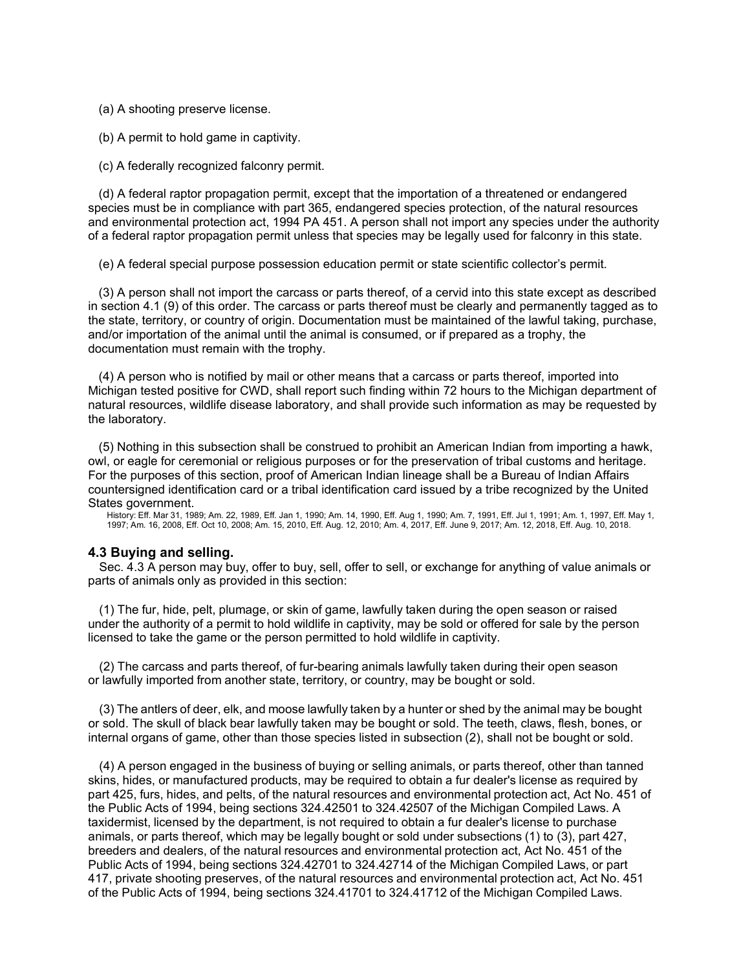(a) A shooting preserve license.

(b) A permit to hold game in captivity.

(c) A federally recognized falconry permit.

(d) A federal raptor propagation permit, except that the importation of a threatened or endangered species must be in compliance with part 365, endangered species protection, of the natural resources and environmental protection act, 1994 PA 451. A person shall not import any species under the authority of a federal raptor propagation permit unless that species may be legally used for falconry in this state.

(e) A federal special purpose possession education permit or state scientific collector's permit.

(3) A person shall not import the carcass or parts thereof, of a cervid into this state except as described in section 4.1 (9) of this order. The carcass or parts thereof must be clearly and permanently tagged as to the state, territory, or country of origin. Documentation must be maintained of the lawful taking, purchase, and/or importation of the animal until the animal is consumed, or if prepared as a trophy, the documentation must remain with the trophy.

(4) A person who is notified by mail or other means that a carcass or parts thereof, imported into Michigan tested positive for CWD, shall report such finding within 72 hours to the Michigan department of natural resources, wildlife disease laboratory, and shall provide such information as may be requested by the laboratory.

(5) Nothing in this subsection shall be construed to prohibit an American Indian from importing a hawk, owl, or eagle for ceremonial or religious purposes or for the preservation of tribal customs and heritage. For the purposes of this section, proof of American Indian lineage shall be a Bureau of Indian Affairs countersigned identification card or a tribal identification card issued by a tribe recognized by the United States government.

History: Eff. Mar 31, 1989; Am. 22, 1989, Eff. Jan 1, 1990; Am. 14, 1990, Eff. Aug 1, 1990; Am. 7, 1991, Eff. Jul 1, 1991; Am. 1, 1997, Eff. May 1, 1997; Am. 16, 2008, Eff. Oct 10, 2008; Am. 15, 2010, Eff. Aug. 12, 2010; Am. 4, 2017, Eff. June 9, 2017; Am. 12, 2018, Eff. Aug. 10, 2018.

### **4.3 Buying and selling.**

Sec. 4.3 A person may buy, offer to buy, sell, offer to sell, or exchange for anything of value animals or parts of animals only as provided in this section:

(1) The fur, hide, pelt, plumage, or skin of game, lawfully taken during the open season or raised under the authority of a permit to hold wildlife in captivity, may be sold or offered for sale by the person licensed to take the game or the person permitted to hold wildlife in captivity.

(2) The carcass and parts thereof, of fur-bearing animals lawfully taken during their open season or lawfully imported from another state, territory, or country, may be bought or sold.

(3) The antlers of deer, elk, and moose lawfully taken by a hunter or shed by the animal may be bought or sold. The skull of black bear lawfully taken may be bought or sold. The teeth, claws, flesh, bones, or internal organs of game, other than those species listed in subsection (2), shall not be bought or sold.

(4) A person engaged in the business of buying or selling animals, or parts thereof, other than tanned skins, hides, or manufactured products, may be required to obtain a fur dealer's license as required by part 425, furs, hides, and pelts, of the natural resources and environmental protection act, Act No. 451 of the Public Acts of 1994, being sections 324.42501 to 324.42507 of the Michigan Compiled Laws. A taxidermist, licensed by the department, is not required to obtain a fur dealer's license to purchase animals, or parts thereof, which may be legally bought or sold under subsections (1) to (3), part 427, breeders and dealers, of the natural resources and environmental protection act, Act No. 451 of the Public Acts of 1994, being sections 324.42701 to 324.42714 of the Michigan Compiled Laws, or part 417, private shooting preserves, of the natural resources and environmental protection act, Act No. 451 of the Public Acts of 1994, being sections 324.41701 to 324.41712 of the Michigan Compiled Laws.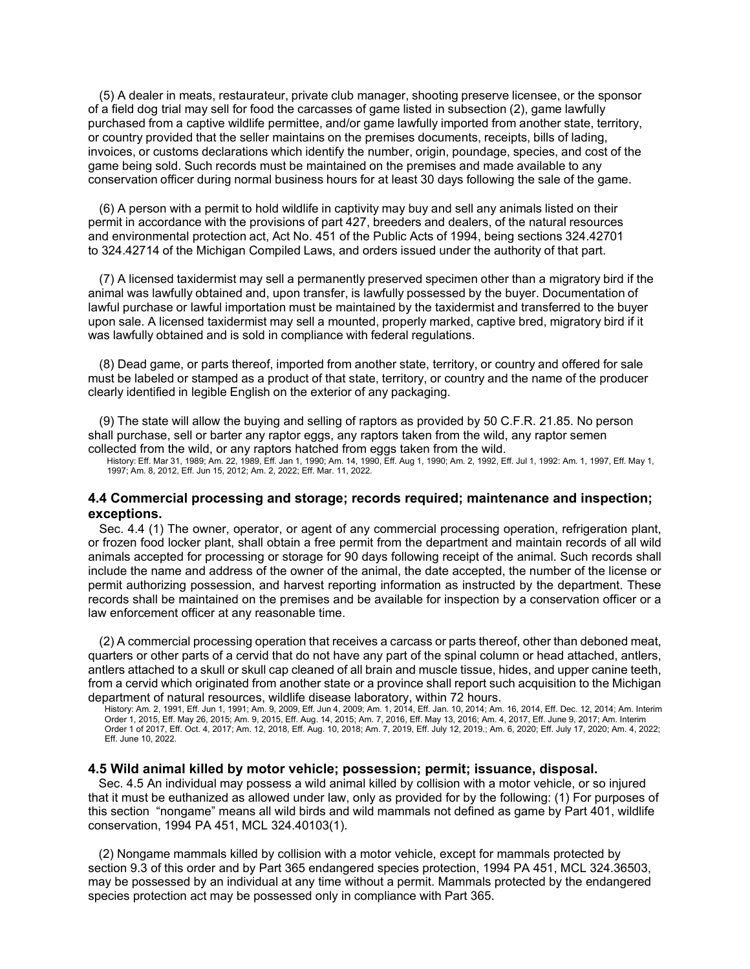(5) A dealer in meats, restaurateur, private club manager, shooting preserve licensee, or the sponsor of a field dog trial may sell for food the carcasses of game listed in subsection (2), game lawfully purchased from a captive wildlife permittee, and/or game lawfully imported from another state, territory, or country provided that the seller maintains on the premises documents, receipts, bills of lading, invoices, or customs declarations which identify the number, origin, poundage, species, and cost of the game being sold. Such records must be maintained on the premises and made available to any conservation officer during normal business hours for at least 30 days following the sale of the game.

(6) A person with a permit to hold wildlife in captivity may buy and sell any animals listed on their permit in accordance with the provisions of part 427, breeders and dealers, of the natural resources and environmental protection act, Act No. 451 of the Public Acts of 1994, being sections 324.42701 to 324.42714 of the Michigan Compiled Laws, and orders issued under the authority of that part.

(7) A licensed taxidermist may sell a permanently preserved specimen other than a migratory bird if the animal was lawfully obtained and, upon transfer, is lawfully possessed by the buyer. Documentation of lawful purchase or lawful importation must be maintained by the taxidermist and transferred to the buyer upon sale. A licensed taxidermist may sell a mounted, properly marked, captive bred, migratory bird if it was lawfully obtained and is sold in compliance with federal regulations.

(8) Dead game, or parts thereof, imported from another state, territory, or country and offered for sale must be labeled or stamped as a product of that state, territory, or country and the name of the producer clearly identified in legible English on the exterior of any packaging.

(9) The state will allow the buying and selling of raptors as provided by 50 C.F.R. 21.85. No person shall purchase, sell or barter any raptor eggs, any raptors taken from the wild, any raptor semen collected from the wild, or any raptors hatched from eggs taken from the wild.

History: Eff. Mar 31, 1989; Am. 22, 1989, Eff. Jan 1, 1990; Am. 14, 1990, Eff. Aug 1, 1990; Am. 2, 1992, Eff. Jul 1, 1992: Am. 1, 1997, Eff. May 1, 1997; Am. 8, 2012, Eff. Jun 15, 2012; Am. 2, 2022; Eff. Mar. 11, 2022.

## **4.4 Commercial processing and storage; records required; maintenance and inspection; exceptions.**

Sec. 4.4 (1) The owner, operator, or agent of any commercial processing operation, refrigeration plant, or frozen food locker plant, shall obtain a free permit from the department and maintain records of all wild animals accepted for processing or storage for 90 days following receipt of the animal. Such records shall include the name and address of the owner of the animal, the date accepted, the number of the license or permit authorizing possession, and harvest reporting information as instructed by the department. These records shall be maintained on the premises and be available for inspection by a conservation officer or a law enforcement officer at any reasonable time.

(2) A commercial processing operation that receives a carcass or parts thereof, other than deboned meat, quarters or other parts of a cervid that do not have any part of the spinal column or head attached, antlers, antlers attached to a skull or skull cap cleaned of all brain and muscle tissue, hides, and upper canine teeth, from a cervid which originated from another state or a province shall report such acquisition to the Michigan department of natural resources, wildlife disease laboratory, within 72 hours.

History: Am. 2, 1991, Eff. Jun 1, 1991; Am. 9, 2009, Eff. Jun 4, 2009; Am. 1, 2014, Eff. Jan. 10, 2014; Am. 16, 2014, Eff. Dec. 12, 2014; Am. Interim Order 1, 2015, Eff. May 26, 2015; Am. 9, 2015, Eff. Aug. 14, 2015; Am. 7, 2016, Eff. May 13, 2016; Am. 4, 2017, Eff. June 9, 2017; Am. Interim Order 1 of 2017, Eff. Oct. 4, 2017; Am. 12, 2018, Eff. Aug. 10, 2018; Am. 7, 2019, Eff. July 12, 2019.; Am. 6, 2020; Eff. July 17, 2020; Am. 4, 2022; Eff. June 10, 2022.

### **4.5 Wild animal killed by motor vehicle; possession; permit; issuance, disposal.**

Sec. 4.5 An individual may possess a wild animal killed by collision with a motor vehicle, or so injured that it must be euthanized as allowed under law, only as provided for by the following: (1) For purposes of this section "nongame" means all wild birds and wild mammals not defined as game by Part 401, wildlife conservation, 1994 PA 451, MCL 324.40103(1).

(2) Nongame mammals killed by collision with a motor vehicle, except for mammals protected by section 9.3 of this order and by Part 365 endangered species protection, 1994 PA 451, MCL 324.36503, may be possessed by an individual at any time without a permit. Mammals protected by the endangered species protection act may be possessed only in compliance with Part 365.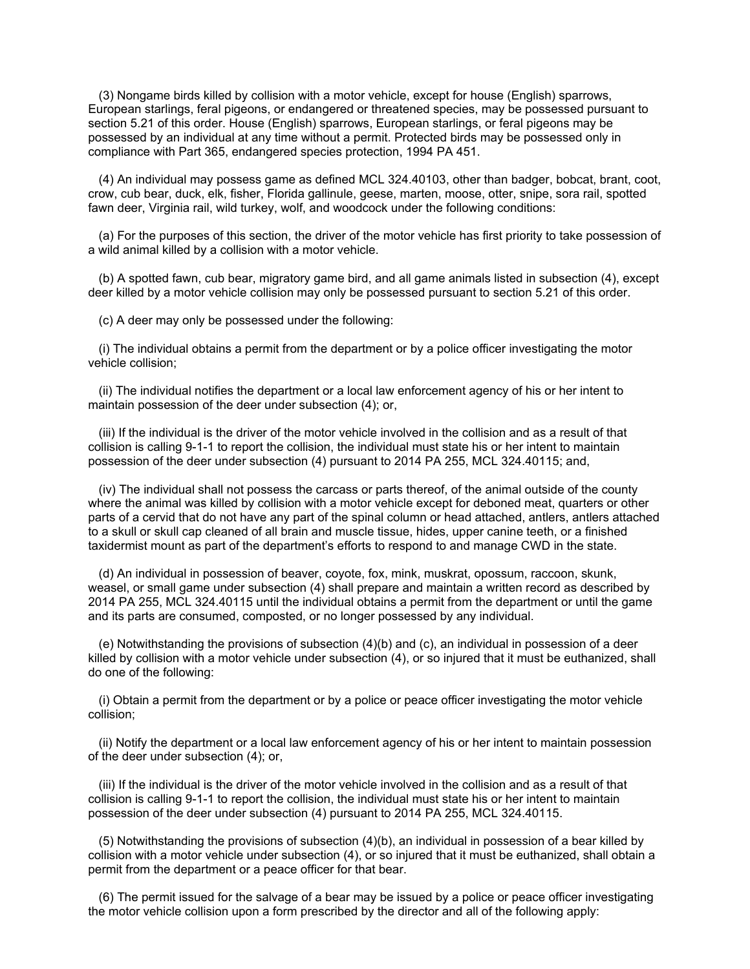(3) Nongame birds killed by collision with a motor vehicle, except for house (English) sparrows, European starlings, feral pigeons, or endangered or threatened species, may be possessed pursuant to section 5.21 of this order. House (English) sparrows, European starlings, or feral pigeons may be possessed by an individual at any time without a permit. Protected birds may be possessed only in compliance with Part 365, endangered species protection, 1994 PA 451.

(4) An individual may possess game as defined MCL 324.40103, other than badger, bobcat, brant, coot, crow, cub bear, duck, elk, fisher, Florida gallinule, geese, marten, moose, otter, snipe, sora rail, spotted fawn deer, Virginia rail, wild turkey, wolf, and woodcock under the following conditions:

(a) For the purposes of this section, the driver of the motor vehicle has first priority to take possession of a wild animal killed by a collision with a motor vehicle.

(b) A spotted fawn, cub bear, migratory game bird, and all game animals listed in subsection (4), except deer killed by a motor vehicle collision may only be possessed pursuant to section 5.21 of this order.

(c) A deer may only be possessed under the following:

(i) The individual obtains a permit from the department or by a police officer investigating the motor vehicle collision;

(ii) The individual notifies the department or a local law enforcement agency of his or her intent to maintain possession of the deer under subsection (4); or,

(iii) If the individual is the driver of the motor vehicle involved in the collision and as a result of that collision is calling 9-1-1 to report the collision, the individual must state his or her intent to maintain possession of the deer under subsection (4) pursuant to 2014 PA 255, MCL 324.40115; and,

(iv) The individual shall not possess the carcass or parts thereof, of the animal outside of the county where the animal was killed by collision with a motor vehicle except for deboned meat, quarters or other parts of a cervid that do not have any part of the spinal column or head attached, antlers, antlers attached to a skull or skull cap cleaned of all brain and muscle tissue, hides, upper canine teeth, or a finished taxidermist mount as part of the department's efforts to respond to and manage CWD in the state.

(d) An individual in possession of beaver, coyote, fox, mink, muskrat, opossum, raccoon, skunk, weasel, or small game under subsection (4) shall prepare and maintain a written record as described by 2014 PA 255, MCL 324.40115 until the individual obtains a permit from the department or until the game and its parts are consumed, composted, or no longer possessed by any individual.

(e) Notwithstanding the provisions of subsection (4)(b) and (c), an individual in possession of a deer killed by collision with a motor vehicle under subsection (4), or so injured that it must be euthanized, shall do one of the following:

(i) Obtain a permit from the department or by a police or peace officer investigating the motor vehicle collision;

(ii) Notify the department or a local law enforcement agency of his or her intent to maintain possession of the deer under subsection (4); or,

(iii) If the individual is the driver of the motor vehicle involved in the collision and as a result of that collision is calling 9-1-1 to report the collision, the individual must state his or her intent to maintain possession of the deer under subsection (4) pursuant to 2014 PA 255, MCL 324.40115.

(5) Notwithstanding the provisions of subsection (4)(b), an individual in possession of a bear killed by collision with a motor vehicle under subsection (4), or so injured that it must be euthanized, shall obtain a permit from the department or a peace officer for that bear.

(6) The permit issued for the salvage of a bear may be issued by a police or peace officer investigating the motor vehicle collision upon a form prescribed by the director and all of the following apply: